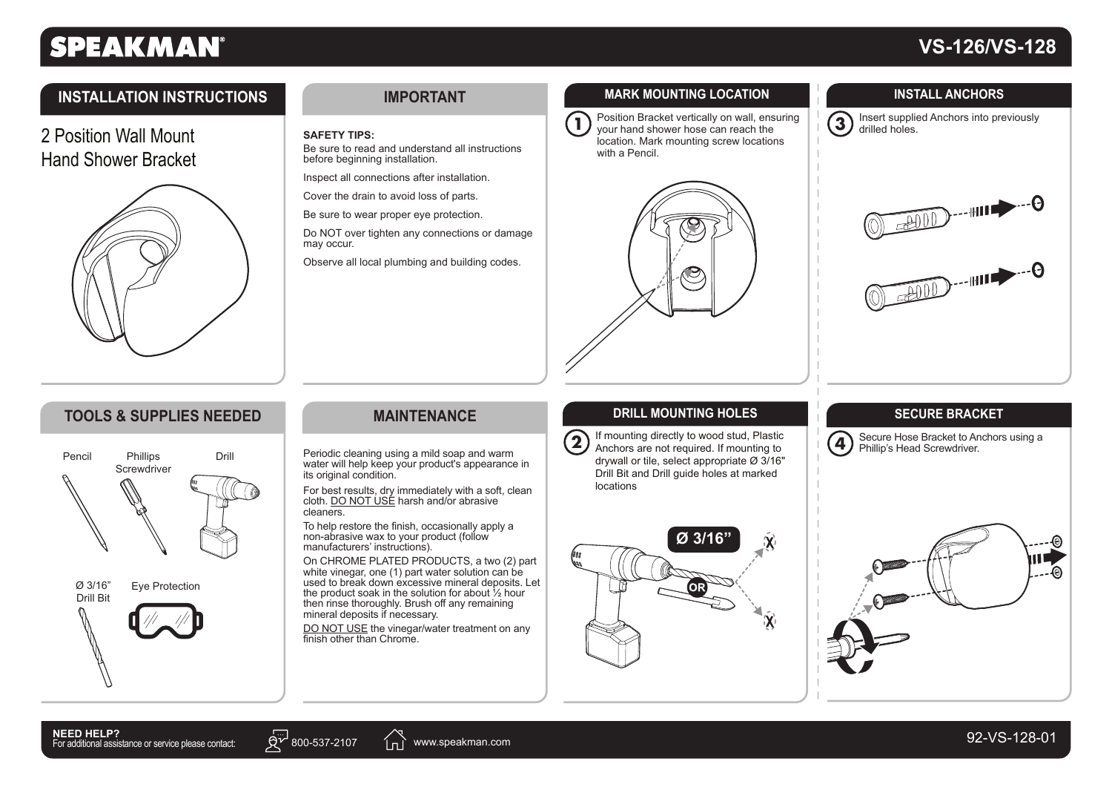# **SPEAKMAN®**

# **VS-126/VS-128**

## **INSTALLATION INSTRUCTIONS**

2 Position Wall MountHand Shower Bracket



#### **IMPORTANT**

#### **SAFETY TIPS:**

Be sure to read and understand all instructions before beginning installation.

Inspect all connections after installation.

Cover the drain to avoid loss of parts.

Be sure to wear proper eye protection.

Do NOT over tighten any connections or damage may occur.

Observe all local plumbing and building codes.

### **MARK MOUNTING LOCATION**

**1**

 Position Bracket vertically on wall, ensuring your hand shower hose can reach the location. Mark mounting screw locations with a Pencil.



**INSTALL ANCHORS**





## **TOOLS & SUPPLIES NEEDED**



### **MAINTENANCE**

Periodic cleaning using a mild soap and warm water will help keep your product's appearance in its original condition.

For best results, dry immediately with a soft, clean cloth. DO NOT USE harsh and/or abrasive cleaners.

To help restore the finish, occasionally apply a non-abrasive wax to your product (follow manufacturers' instructions).

On CHROME PLATED PRODUCTS, a two (2) part white vinegar, one (1) part water solution can be used to break down excessive mineral deposits. Let the product soak in the solution for about ½ hour then rinse thoroughly. Brush off any remaining mineral deposits if necessary.

DO NOT USE the vinegar/water treatment on any finish other than Chrome.

#### **DRILL MOUNTING HOLES**

**2** If mounting directly to wood stud, Plastic Anchors are not required. If mounting to drywall or tile, select appropriate  $\varnothing$  3/16" Drill Bit and Drill guide holes at marked locations



### **SECURE BRACKET**

**4**Secure Hose Bracket to Anchors using a Phillip's Head Screwdriver.





in i www.speakman.com